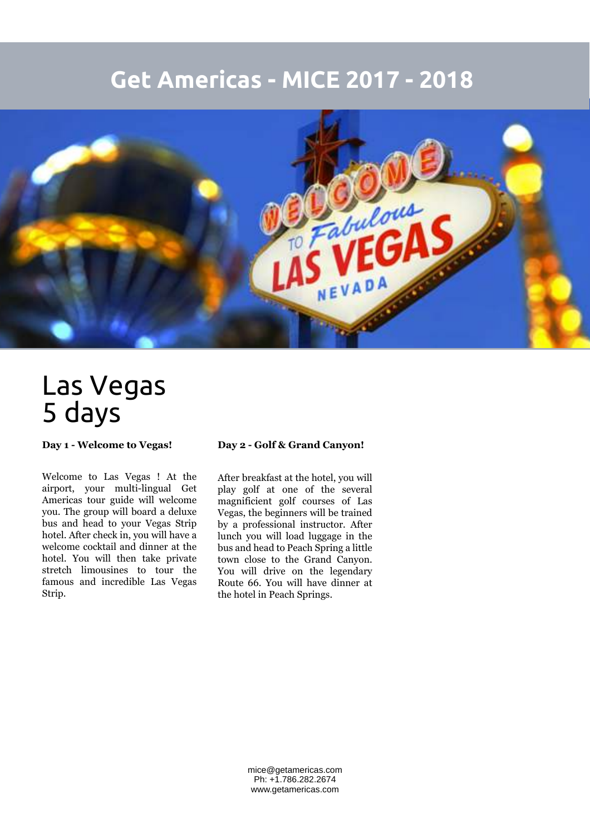## **Get Americas - MICE 2017 - 2018**



## Las Vegas 5 days

**Day 1 - Welcome to Vegas!**

Welcome to Las Vegas ! At the airport, your multi-lingual Get Americas tour guide will welcome you. The group will board a deluxe bus and head to your Vegas Strip hotel. After check in, you will have a welcome cocktail and dinner at the hotel. You will then take private stretch limousines to tour the famous and incredible Las Vegas Strip.

## **Day 2 - Golf & Grand Canyon!**

After breakfast at the hotel, you will play golf at one of the several magnificient golf courses of Las Vegas, the beginners will be trained by a professional instructor. After lunch you will load luggage in the bus and head to Peach Spring a little town close to the Grand Canyon. You will drive on the legendary Route 66. You will have dinner at the hotel in Peach Springs.